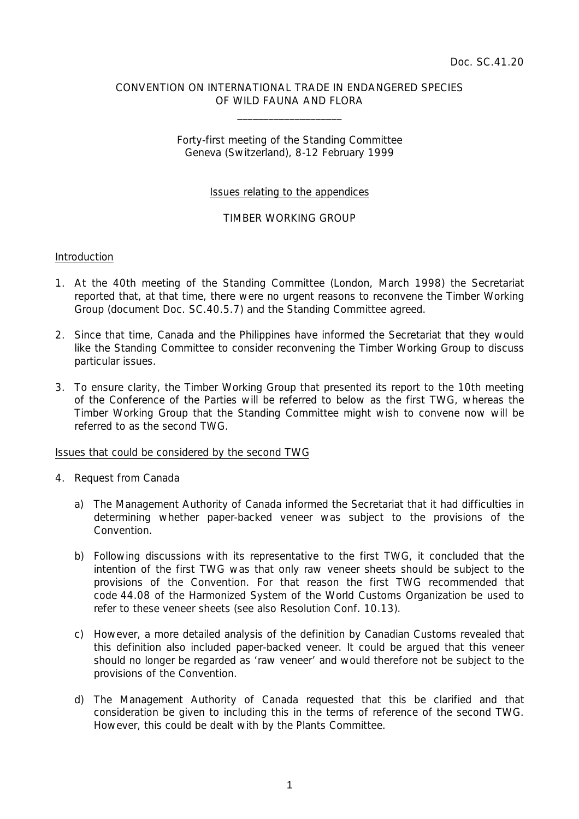# CONVENTION ON INTERNATIONAL TRADE IN ENDANGERED SPECIES OF WILD FAUNA AND FLORA

 $\overline{\phantom{a}}$  , which is a set of the set of the set of the set of the set of the set of the set of the set of the set of the set of the set of the set of the set of the set of the set of the set of the set of the set of th

# Forty-first meeting of the Standing Committee Geneva (Switzerland), 8-12 February 1999

# Issues relating to the appendices

### TIMBER WORKING GROUP

#### Introduction

- 1. At the 40th meeting of the Standing Committee (London, March 1998) the Secretariat reported that, at that time, there were no urgent reasons to reconvene the Timber Working Group (document Doc. SC.40.5.7) and the Standing Committee agreed.
- 2. Since that time, Canada and the Philippines have informed the Secretariat that they would like the Standing Committee to consider reconvening the Timber Working Group to discuss particular issues.
- 3. To ensure clarity, the Timber Working Group that presented its report to the 10th meeting of the Conference of the Parties will be referred to below as the first TWG, whereas the Timber Working Group that the Standing Committee might wish to convene now will be referred to as the second TWG.

#### Issues that could be considered by the second TWG

- 4. Request from Canada
	- a) The Management Authority of Canada informed the Secretariat that it had difficulties in determining whether paper-backed veneer was subject to the provisions of the Convention.
	- b) Following discussions with its representative to the first TWG, it concluded that the intention of the first TWG was that only raw veneer sheets should be subject to the provisions of the Convention. For that reason the first TWG recommended that code 44.08 of the Harmonized System of the World Customs Organization be used to refer to these veneer sheets (see also Resolution Conf. 10.13).
	- c) However, a more detailed analysis of the definition by Canadian Customs revealed that this definition also included paper-backed veneer. It could be argued that this veneer should no longer be regarded as 'raw veneer' and would therefore not be subject to the provisions of the Convention.
	- d) The Management Authority of Canada requested that this be clarified and that consideration be given to including this in the terms of reference of the second TWG. However, this could be dealt with by the Plants Committee.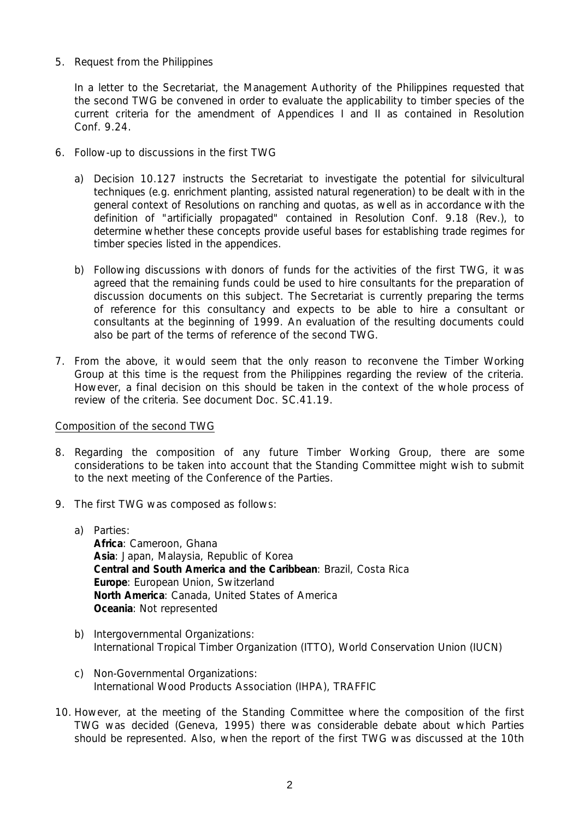5. Request from the Philippines

 In a letter to the Secretariat, the Management Authority of the Philippines requested that the second TWG be convened in order to evaluate the applicability to timber species of the current criteria for the amendment of Appendices I and II as contained in Resolution Conf. 9.24.

- 6. Follow-up to discussions in the first TWG
	- a) Decision 10.127 instructs the Secretariat to investigate the potential for silvicultural techniques (e.g. enrichment planting, assisted natural regeneration) to be dealt with in the general context of Resolutions on ranching and quotas, as well as in accordance with the definition of "artificially propagated" contained in Resolution Conf. 9.18 (Rev.), to determine whether these concepts provide useful bases for establishing trade regimes for timber species listed in the appendices.
	- b) Following discussions with donors of funds for the activities of the first TWG, it was agreed that the remaining funds could be used to hire consultants for the preparation of discussion documents on this subject. The Secretariat is currently preparing the terms of reference for this consultancy and expects to be able to hire a consultant or consultants at the beginning of 1999. An evaluation of the resulting documents could also be part of the terms of reference of the second TWG.
- 7. From the above, it would seem that the only reason to reconvene the Timber Working Group at this time is the request from the Philippines regarding the review of the criteria. However, a final decision on this should be taken in the context of the whole process of review of the criteria. See document Doc. SC.41.19.

# Composition of the second TWG

- 8. Regarding the composition of any future Timber Working Group, there are some considerations to be taken into account that the Standing Committee might wish to submit to the next meeting of the Conference of the Parties.
- 9. The first TWG was composed as follows:
	- a) Parties: **Africa**: Cameroon, Ghana **Asia**: Japan, Malaysia, Republic of Korea **Central and South America and the Caribbean**: Brazil, Costa Rica **Europe**: European Union, Switzerland **North America**: Canada, United States of America **Oceania**: Not represented
	- b) Intergovernmental Organizations: International Tropical Timber Organization (ITTO), World Conservation Union (IUCN)
	- c) Non-Governmental Organizations: International Wood Products Association (IHPA), TRAFFIC
- 10. However, at the meeting of the Standing Committee where the composition of the first TWG was decided (Geneva, 1995) there was considerable debate about which Parties should be represented. Also, when the report of the first TWG was discussed at the 10th